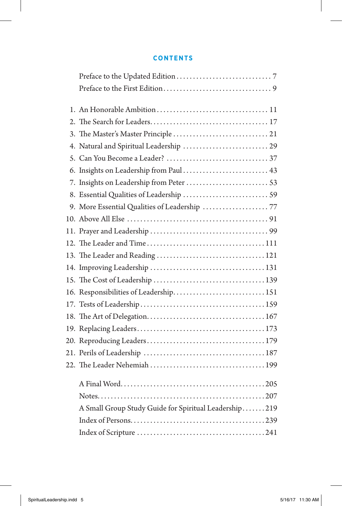#### **CONTENTS**

| 4. Natural and Spiritual Leadership  29               |  |
|-------------------------------------------------------|--|
|                                                       |  |
| 6. Insights on Leadership from Paul 43                |  |
| 7.                                                    |  |
|                                                       |  |
| 9. More Essential Qualities of Leadership  77         |  |
|                                                       |  |
|                                                       |  |
|                                                       |  |
|                                                       |  |
|                                                       |  |
|                                                       |  |
| 16. Responsibilities of Leadership 151                |  |
|                                                       |  |
|                                                       |  |
|                                                       |  |
|                                                       |  |
|                                                       |  |
|                                                       |  |
|                                                       |  |
|                                                       |  |
|                                                       |  |
| A Small Group Study Guide for Spiritual Leadership219 |  |
|                                                       |  |
|                                                       |  |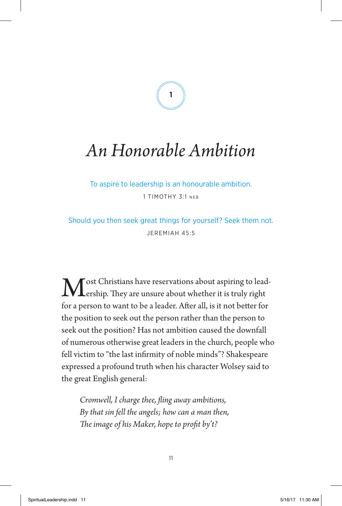

## *An Honorable Ambition*

To aspire to leadership is an honourable ambition. 1 TIMOTHY 3:1 NEB

Should you then seek great things for yourself? Seek them not. JEREMIAH 45:5

ost Christians have reservations about aspiring to leadership. They are unsure about whether it is truly right for a person to want to be a leader. After all, is it not better for the position to seek out the person rather than the person to seek out the position? Has not ambition caused the downfall of numerous otherwise great leaders in the church, people who fell victim to "the last infirmity of noble minds"? Shakespeare expressed a profound truth when his character Wolsey said to the great English general:

*Cromwell, I charge thee, fling away ambitions, By that sin fell the angels; how can a man then, The image of his Maker, hope to profit by't?*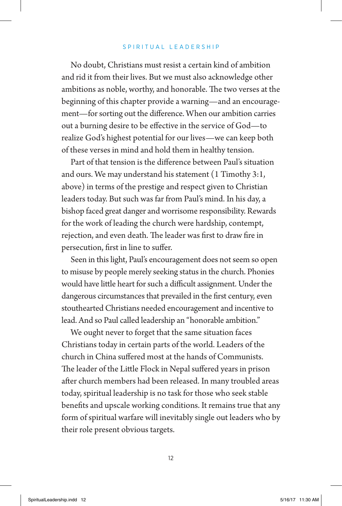No doubt, Christians must resist a certain kind of ambition and rid it from their lives. But we must also acknowledge other ambitions as noble, worthy, and honorable. The two verses at the beginning of this chapter provide a warning—and an encouragement—for sorting out the difference. When our ambition carries out a burning desire to be effective in the service of God—to realize God's highest potential for our lives—we can keep both of these verses in mind and hold them in healthy tension.

Part of that tension is the difference between Paul's situation and ours. We may understand his statement (1 Timothy 3:1, above) in terms of the prestige and respect given to Christian leaders today. But such was far from Paul's mind. In his day, a bishop faced great danger and worrisome responsibility. Rewards for the work of leading the church were hardship, contempt, rejection, and even death. The leader was first to draw fire in persecution, first in line to suffer.

Seen in this light, Paul's encouragement does not seem so open to misuse by people merely seeking status in the church. Phonies would have little heart for such a difficult assignment. Under the dangerous circumstances that prevailed in the first century, even stouthearted Christians needed encouragement and incentive to lead. And so Paul called leadership an "honorable ambition."

We ought never to forget that the same situation faces Christians today in certain parts of the world. Leaders of the church in China suffered most at the hands of Communists. The leader of the Little Flock in Nepal suffered years in prison after church members had been released. In many troubled areas today, spiritual leadership is no task for those who seek stable benefits and upscale working conditions. It remains true that any form of spiritual warfare will inevitably single out leaders who by their role present obvious targets.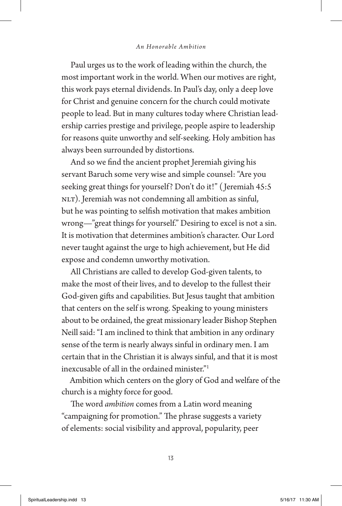#### *An Honorable Ambition*

Paul urges us to the work of leading within the church, the most important work in the world. When our motives are right, this work pays eternal dividends. In Paul's day, only a deep love for Christ and genuine concern for the church could motivate people to lead. But in many cultures today where Christian leadership carries prestige and privilege, people aspire to leadership for reasons quite unworthy and self-seeking. Holy ambition has always been surrounded by distortions.

And so we find the ancient prophet Jeremiah giving his servant Baruch some very wise and simple counsel: "Are you seeking great things for yourself? Don't do it!" (Jeremiah 45:5) NLT). Jeremiah was not condemning all ambition as sinful, but he was pointing to selfish motivation that makes ambition wrong—"great things for yourself." Desiring to excel is not a sin. It is motivation that determines ambition's character. Our Lord never taught against the urge to high achievement, but He did expose and condemn unworthy motivation.

All Christians are called to develop God-given talents, to make the most of their lives, and to develop to the fullest their God-given gifts and capabilities. But Jesus taught that ambition that centers on the self is wrong. Speaking to young ministers about to be ordained, the great missionary leader Bishop Stephen Neill said: "I am inclined to think that ambition in any ordinary sense of the term is nearly always sinful in ordinary men. I am certain that in the Christian it is always sinful, and that it is most inexcusable of all in the ordained minister."1

Ambition which centers on the glory of God and welfare of the church is a mighty force for good.

The word *ambition* comes from a Latin word meaning "campaigning for promotion." The phrase suggests a variety of elements: social visibility and approval, popularity, peer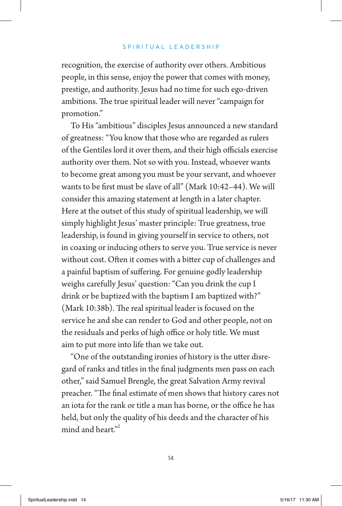l recognition, the exercise of authority over others. Ambitious people, in this sense, enjoy the power that comes with money, prestige, and authority. Jesus had no time for such ego-driven ambitions. The true spiritual leader will never "campaign for promotion."

To His "ambitious" disciples Jesus announced a new standard of greatness: "You know that those who are regarded as rulers of the Gentiles lord it over them, and their high officials exercise authority over them. Not so with you. Instead, whoever wants to become great among you must be your servant, and whoever wants to be first must be slave of all" (Mark 10:42–44). We will consider this amazing statement at length in a later chapter. Here at the outset of this study of spiritual leadership, we will simply highlight Jesus' master principle: True greatness, true leadership, is found in giving yourself in service to others, not in coaxing or inducing others to serve you. True service is never without cost. Often it comes with a bitter cup of challenges and a painful baptism of suffering. For genuine godly leadership weighs carefully Jesus' question: "Can you drink the cup I drink or be baptized with the baptism I am baptized with?" (Mark 10:38b). The real spiritual leader is focused on the service he and she can render to God and other people, not on the residuals and perks of high office or holy title. We must aim to put more into life than we take out.

"One of the outstanding ironies of history is the utter disregard of ranks and titles in the final judgments men pass on each other," said Samuel Brengle, the great Salvation Army revival preacher. "The final estimate of men shows that history cares not an iota for the rank or title a man has borne, or the office he has held, but only the quality of his deeds and the character of his mind and heart."<sup>2</sup>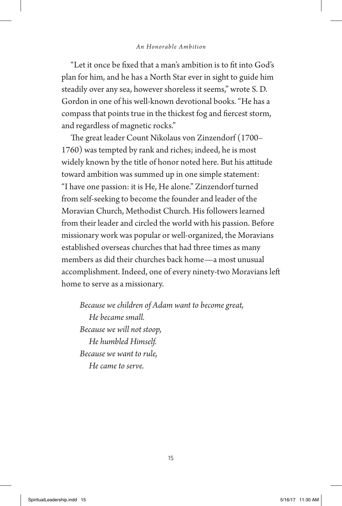#### *An Honorable Ambition*

"Let it once be fixed that a man's ambition is to fit into God's plan for him, and he has a North Star ever in sight to guide him steadily over any sea, however shoreless it seems," wrote S. D. Gordon in one of his well-known devotional books. "He has a compass that points true in the thickest fog and fiercest storm, and regardless of magnetic rocks."

The great leader Count Nikolaus von Zinzendorf (1700– 1760) was tempted by rank and riches; indeed, he is most widely known by the title of honor noted here. But his attitude toward ambition was summed up in one simple statement: "I have one passion: it is He, He alone." Zinzendorf turned from self-seeking to become the founder and leader of the Moravian Church, Methodist Church. His followers learned from their leader and circled the world with his passion. Before missionary work was popular or well-organized, the Moravians established overseas churches that had three times as many members as did their churches back home—a most unusual accomplishment. Indeed, one of every ninety-two Moravians left home to serve as a missionary.

*Because we children of Adam want to become great, He became small. Because we will not stoop, He humbled Himself. Because we want to rule, He came to serve.*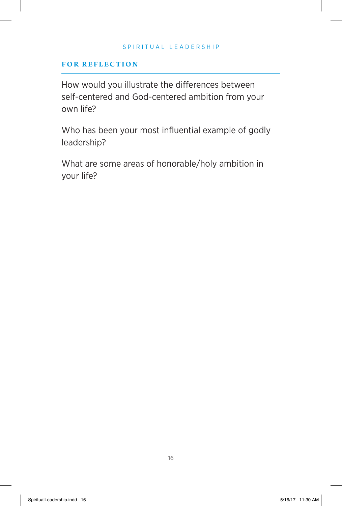#### l **FOR REFLECTION**

How would you illustrate the differences between self-centered and God-centered ambition from your own life?

Who has been your most influential example of godly leadership?

What are some areas of honorable/holy ambition in your life?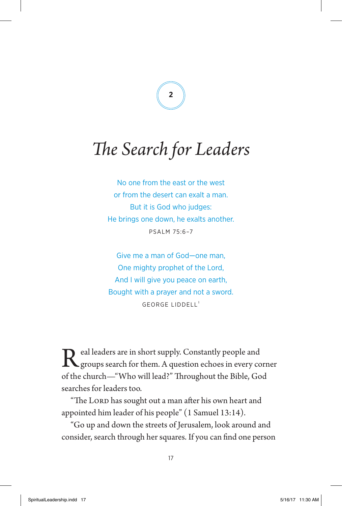

# *The Search for Leaders*

No one from the east or the west or from the desert can exalt a man. But it is God who judges: He brings one down, he exalts another. PSALM 75:6–7

Give me a man of God—one man, One mighty prophet of the Lord, And I will give you peace on earth, Bought with a prayer and not a sword. GEORGE LIDDELL<sup>1</sup>

Real leaders are in short supply. Constantly people and<br>groups search for them. A question echoes in every corner of the church—"Who will lead?" Throughout the Bible, God searches for leaders too.

"The LORD has sought out a man after his own heart and appointed him leader of his people" (1 Samuel 13:14).

"Go up and down the streets of Jerusalem, look around and consider, search through her squares. If you can find one person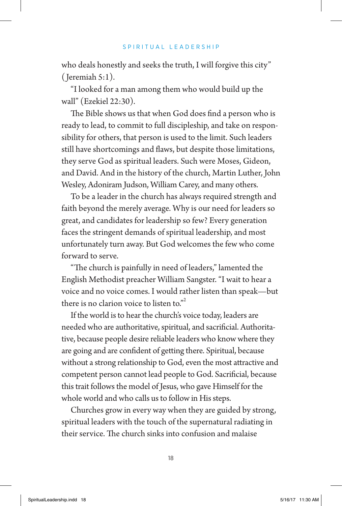$\overline{ }$ who deals honestly and seeks the truth, I will forgive this city" ( Jeremiah 5:1).

"I looked for a man among them who would build up the wall" (Ezekiel 22:30).

The Bible shows us that when God does find a person who is ready to lead, to commit to full discipleship, and take on responsibility for others, that person is used to the limit. Such leaders still have shortcomings and flaws, but despite those limitations, they serve God as spiritual leaders. Such were Moses, Gideon, and David. And in the history of the church, Martin Luther, John Wesley, Adoniram Judson, William Carey, and many others.

To be a leader in the church has always required strength and faith beyond the merely average. Why is our need for leaders so great, and candidates for leadership so few? Every generation faces the stringent demands of spiritual leadership, and most unfortunately turn away. But God welcomes the few who come forward to serve.

"The church is painfully in need of leaders," lamented the English Methodist preacher William Sangster. "I wait to hear a voice and no voice comes. I would rather listen than speak—but there is no clarion voice to listen to."<sup>2</sup>

If the world is to hear the church's voice today, leaders are needed who are authoritative, spiritual, and sacrificial. Authoritative, because people desire reliable leaders who know where they are going and are confident of getting there. Spiritual, because without a strong relationship to God, even the most attractive and competent person cannot lead people to God. Sacrificial, because this trait follows the model of Jesus, who gave Himself for the whole world and who calls us to follow in His steps.

Churches grow in every way when they are guided by strong, spiritual leaders with the touch of the supernatural radiating in their service. The church sinks into confusion and malaise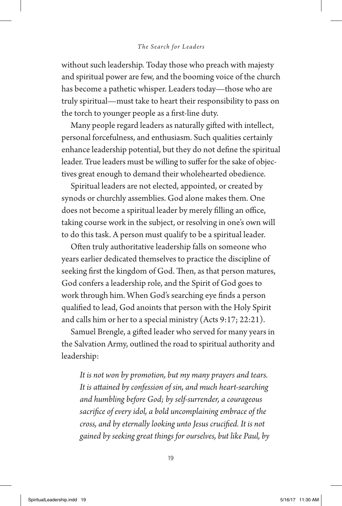#### *The Search for Leaders*

without such leadership. Today those who preach with majesty and spiritual power are few, and the booming voice of the church has become a pathetic whisper. Leaders today—those who are truly spiritual—must take to heart their responsibility to pass on the torch to younger people as a first-line duty.

Many people regard leaders as naturally gifted with intellect, personal forcefulness, and enthusiasm. Such qualities certainly enhance leadership potential, but they do not define the spiritual leader. True leaders must be willing to suffer for the sake of objectives great enough to demand their wholehearted obedience.

Spiritual leaders are not elected, appointed, or created by synods or churchly assemblies. God alone makes them. One does not become a spiritual leader by merely filling an office, taking course work in the subject, or resolving in one's own will to do this task. A person must qualify to be a spiritual leader.

Often truly authoritative leadership falls on someone who years earlier dedicated themselves to practice the discipline of seeking first the kingdom of God. Then, as that person matures, God confers a leadership role, and the Spirit of God goes to work through him. When God's searching eye finds a person qualified to lead, God anoints that person with the Holy Spirit and calls him or her to a special ministry (Acts 9:17; 22:21).

Samuel Brengle, a gifted leader who served for many years in the Salvation Army, outlined the road to spiritual authority and leadership:

*It is not won by promotion, but my many prayers and tears. It is attained by confession of sin, and much heart-searching and humbling before God; by self-surrender, a courageous sacrifice of every idol, a bold uncomplaining embrace of the cross, and by eternally looking unto Jesus crucified. It is not gained by seeking great things for ourselves, but like Paul, by*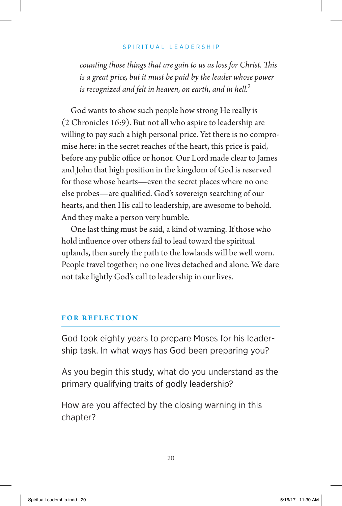*counting those things that are gain to us as loss for Christ. This is a great price, but it must be paid by the leader whose power is recognized and felt in heaven, on earth, and in hell.*<sup>3</sup>

God wants to show such people how strong He really is (2 Chronicles 16:9). But not all who aspire to leadership are willing to pay such a high personal price. Yet there is no compromise here: in the secret reaches of the heart, this price is paid, before any public office or honor. Our Lord made clear to James and John that high position in the kingdom of God is reserved for those whose hearts—even the secret places where no one else probes—are qualified. God's sovereign searching of our hearts, and then His call to leadership, are awesome to behold. And they make a person very humble.

One last thing must be said, a kind of warning. If those who hold influence over others fail to lead toward the spiritual uplands, then surely the path to the lowlands will be well worn. People travel together; no one lives detached and alone. We dare not take lightly God's call to leadership in our lives.

### **FOR REFLECTION**

God took eighty years to prepare Moses for his leadership task. In what ways has God been preparing you?

As you begin this study, what do you understand as the primary qualifying traits of godly leadership?

How are you affected by the closing warning in this chapter?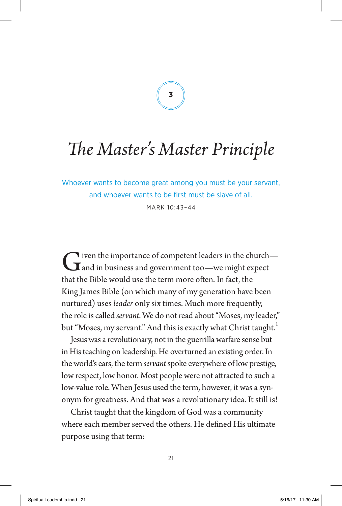## *The Master's Master Principle*

**3**

Whoever wants to become great among you must be your servant, and whoever wants to be first must be slave of all.

MARK 10:43–44

Given the importance of competent leaders in the church—<br>and in business and government too—we might expect<br>that the Bible savel deve the term were after the fact the and in business and government too—we might expect that the Bible would use the term more often. In fact, the King James Bible (on which many of my generation have been nurtured) uses *leader* only six times. Much more frequently, the role is called *servant*. We do not read about "Moses, my leader," but "Moses, my servant." And this is exactly what Christ taught.<sup>1</sup>

Jesus was a revolutionary, not in the guerrilla warfare sense but in His teaching on leadership. He overturned an existing order. In the world's ears, the term *servant* spoke everywhere of low prestige, low respect, low honor. Most people were not attracted to such a low-value role. When Jesus used the term, however, it was a synonym for greatness. And that was a revolutionary idea. It still is!

Christ taught that the kingdom of God was a community where each member served the others. He defined His ultimate purpose using that term: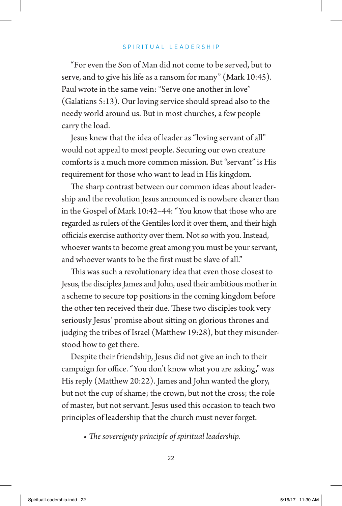"For even the Son of Man did not come to be served, but to serve, and to give his life as a ransom for many" (Mark 10:45). Paul wrote in the same vein: "Serve one another in love" (Galatians 5:13). Our loving service should spread also to the needy world around us. But in most churches, a few people carry the load.

Jesus knew that the idea of leader as "loving servant of all" would not appeal to most people. Securing our own creature comforts is a much more common mission. But "servant" is His requirement for those who want to lead in His kingdom.

The sharp contrast between our common ideas about leadership and the revolution Jesus announced is nowhere clearer than in the Gospel of Mark 10:42–44: "You know that those who are regarded as rulers of the Gentiles lord it over them, and their high officials exercise authority over them. Not so with you. Instead, whoever wants to become great among you must be your servant, and whoever wants to be the first must be slave of all."

This was such a revolutionary idea that even those closest to Jesus, the disciples James and John, used their ambitious mother in a scheme to secure top positions in the coming kingdom before the other ten received their due. These two disciples took very seriously Jesus' promise about sitting on glorious thrones and judging the tribes of Israel (Matthew 19:28), but they misunderstood how to get there.

Despite their friendship, Jesus did not give an inch to their campaign for office. "You don't know what you are asking," was His reply (Matthew 20:22). James and John wanted the glory, but not the cup of shame; the crown, but not the cross; the role of master, but not servant. Jesus used this occasion to teach two principles of leadership that the church must never forget.

• *The sovereignty principle of spiritual leadership.*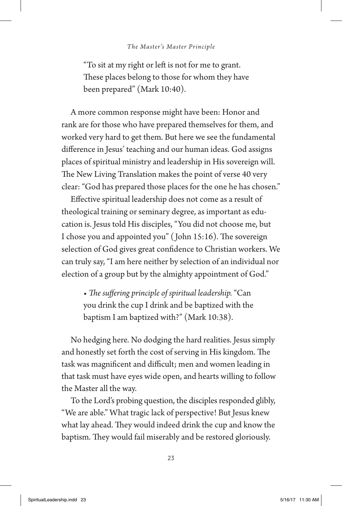#### *The Master's Master Principle*

"To sit at my right or left is not for me to grant. These places belong to those for whom they have been prepared" (Mark 10:40).

A more common response might have been: Honor and rank are for those who have prepared themselves for them, and worked very hard to get them. But here we see the fundamental difference in Jesus' teaching and our human ideas. God assigns places of spiritual ministry and leadership in His sovereign will. The New Living Translation makes the point of verse 40 very clear: "God has prepared those places for the one he has chosen."

Effective spiritual leadership does not come as a result of theological training or seminary degree, as important as education is. Jesus told His disciples, "You did not choose me, but I chose you and appointed you" ( John 15:16). The sovereign selection of God gives great confidence to Christian workers. We can truly say, "I am here neither by selection of an individual nor election of a group but by the almighty appointment of God."

• *The suffering principle of spiritual leadership.* "Can you drink the cup I drink and be baptized with the baptism I am baptized with?" (Mark 10:38).

No hedging here. No dodging the hard realities. Jesus simply and honestly set forth the cost of serving in His kingdom. The task was magnificent and difficult; men and women leading in that task must have eyes wide open, and hearts willing to follow the Master all the way.

To the Lord's probing question, the disciples responded glibly, "We are able." What tragic lack of perspective! But Jesus knew what lay ahead. They would indeed drink the cup and know the baptism. They would fail miserably and be restored gloriously.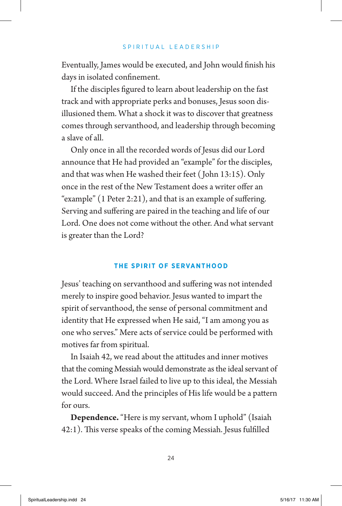l Eventually, James would be executed, and John would finish his days in isolated confinement.

If the disciples figured to learn about leadership on the fast track and with appropriate perks and bonuses, Jesus soon disillusioned them. What a shock it was to discover that greatness comes through servanthood, and leadership through becoming a slave of all.

Only once in all the recorded words of Jesus did our Lord announce that He had provided an "example" for the disciples, and that was when He washed their feet ( John 13:15). Only once in the rest of the New Testament does a writer offer an "example" (1 Peter 2:21), and that is an example of suffering. Serving and suffering are paired in the teaching and life of our Lord. One does not come without the other. And what servant is greater than the Lord?

#### **THE SPIRIT OF SERVANTHOOD**

Jesus' teaching on servanthood and suffering was not intended merely to inspire good behavior. Jesus wanted to impart the spirit of servanthood, the sense of personal commitment and identity that He expressed when He said, "I am among you as one who serves." Mere acts of service could be performed with motives far from spiritual.

In Isaiah 42, we read about the attitudes and inner motives that the coming Messiah would demonstrate as the ideal servant of the Lord. Where Israel failed to live up to this ideal, the Messiah would succeed. And the principles of His life would be a pattern for ours.

**Dependence.** "Here is my servant, whom I uphold" (Isaiah 42:1). This verse speaks of the coming Messiah. Jesus fulfilled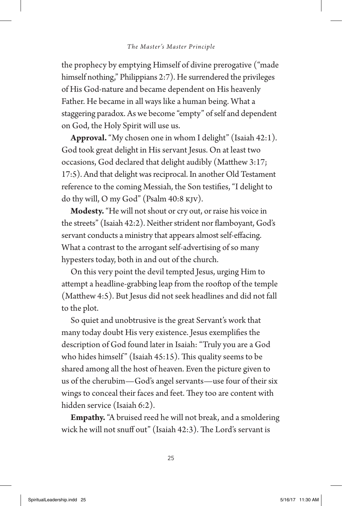the prophecy by emptying Himself of divine prerogative ("made himself nothing," Philippians 2:7). He surrendered the privileges of His God-nature and became dependent on His heavenly Father. He became in all ways like a human being. What a staggering paradox. As we become "empty" of self and dependent on God, the Holy Spirit will use us.

**Approval.** "My chosen one in whom I delight" (Isaiah 42:1). God took great delight in His servant Jesus. On at least two occasions, God declared that delight audibly (Matthew 3:17; 17:5). And that delight was reciprocal. In another Old Testament reference to the coming Messiah, the Son testifies, "I delight to do thy will, O my God" (Psalm 40:8 kjv).

**Modesty.** "He will not shout or cry out, or raise his voice in the streets" (Isaiah 42:2). Neither strident nor flamboyant, God's servant conducts a ministry that appears almost self-effacing. What a contrast to the arrogant self-advertising of so many hypesters today, both in and out of the church.

On this very point the devil tempted Jesus, urging Him to attempt a headline-grabbing leap from the rooftop of the temple (Matthew 4:5). But Jesus did not seek headlines and did not fall to the plot.

So quiet and unobtrusive is the great Servant's work that many today doubt His very existence. Jesus exemplifies the description of God found later in Isaiah: "Truly you are a God who hides himself" (Isaiah  $45:15$ ). This quality seems to be shared among all the host of heaven. Even the picture given to us of the cherubim—God's angel servants—use four of their six wings to conceal their faces and feet. They too are content with hidden service (Isaiah 6:2).

**Empathy.** "A bruised reed he will not break, and a smoldering wick he will not snuff out" (Isaiah 42:3). The Lord's servant is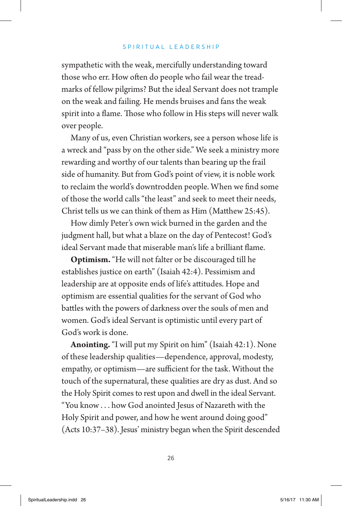ś sympathetic with the weak, mercifully understanding toward those who err. How often do people who fail wear the treadmarks of fellow pilgrims? But the ideal Servant does not trample on the weak and failing. He mends bruises and fans the weak spirit into a flame. Those who follow in His steps will never walk over people.

Many of us, even Christian workers, see a person whose life is a wreck and "pass by on the other side." We seek a ministry more rewarding and worthy of our talents than bearing up the frail side of humanity. But from God's point of view, it is noble work to reclaim the world's downtrodden people. When we find some of those the world calls "the least" and seek to meet their needs, Christ tells us we can think of them as Him (Matthew 25:45).

How dimly Peter's own wick burned in the garden and the judgment hall, but what a blaze on the day of Pentecost! God's ideal Servant made that miserable man's life a brilliant flame.

**Optimism.** "He will not falter or be discouraged till he establishes justice on earth" (Isaiah 42:4). Pessimism and leadership are at opposite ends of life's attitudes. Hope and optimism are essential qualities for the servant of God who battles with the powers of darkness over the souls of men and women. God's ideal Servant is optimistic until every part of God's work is done.

**Anointing.** "I will put my Spirit on him" (Isaiah 42:1). None of these leadership qualities—dependence, approval, modesty, empathy, or optimism—are sufficient for the task. Without the touch of the supernatural, these qualities are dry as dust. And so the Holy Spirit comes to rest upon and dwell in the ideal Servant. "You know . . . how God anointed Jesus of Nazareth with the Holy Spirit and power, and how he went around doing good" (Acts 10:37–38). Jesus' ministry began when the Spirit descended